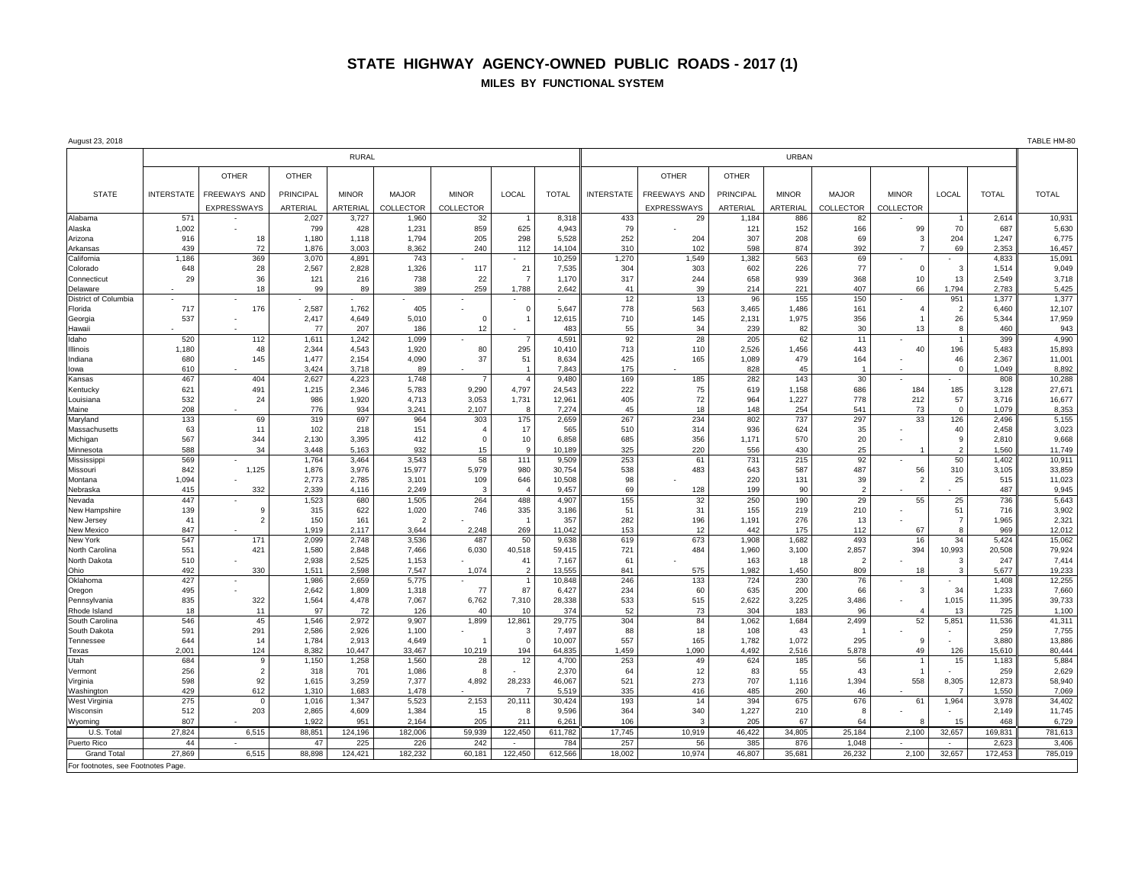## **STATE HIGHWAY AGENCY-OWNED PUBLIC ROADS - 2017 (1) MILES BY FUNCTIONAL SYSTEM**

| August 23, 2018                   |                   |                    |                  |                |                          |                       |                |                 |                   |                    |                |               |                      |                | TABLE HM-80           |                  |                  |
|-----------------------------------|-------------------|--------------------|------------------|----------------|--------------------------|-----------------------|----------------|-----------------|-------------------|--------------------|----------------|---------------|----------------------|----------------|-----------------------|------------------|------------------|
|                                   | <b>RURAL</b>      |                    |                  |                |                          |                       |                |                 | <b>URBAN</b>      |                    |                |               |                      |                |                       |                  |                  |
|                                   |                   | <b>OTHER</b>       | <b>OTHER</b>     |                |                          |                       |                |                 |                   | <b>OTHER</b>       | <b>OTHER</b>   |               |                      |                |                       |                  |                  |
| <b>STATE</b>                      | <b>INTERSTATE</b> | FREEWAYS AND       | <b>PRINCIPAL</b> | <b>MINOR</b>   | <b>MAJOR</b>             | <b>MINOR</b>          | LOCAL          | <b>TOTAL</b>    | <b>INTERSTATE</b> | FREEWAYS AND       | PRINCIPAL      | <b>MINOR</b>  | <b>MAJOR</b>         | <b>MINOR</b>   | LOCAL                 | <b>TOTAL</b>     | <b>TOTAL</b>     |
|                                   |                   | <b>EXPRESSWAYS</b> | ARTERIAL         | ARTERIAL       | <b>COLLECTOR</b>         | COLLECTOR             |                |                 |                   | <b>EXPRESSWAYS</b> | ARTERIAL       | ARTERIAL      | <b>COLLECTOR</b>     | COLLECTOR      |                       |                  |                  |
| Alabama                           | 571               |                    | 2,027            | 3,727          | 1,960                    | 32                    |                | 8,318           | 433               | 29                 | 1,184          | 886           | 82                   |                |                       | 2,614            | 10,931           |
| Alaska<br>Arizona                 | 1,002<br>916      | 18                 | 799<br>1,180     | 428<br>1,118   | 1,231<br>1,794           | 859<br>205            | 625<br>298     | 4,943<br>5,528  | 79<br>252         | 204                | 121<br>307     | 152<br>208    | 166<br>69            | 99<br>3        | 70<br>204             | 687<br>1,247     | 5,630<br>6,775   |
| Arkansas                          | 439               | 72                 | 1,876            | 3,003          | 8,362                    | 240                   | 112            | 14,104          | 310               | 102                | 598            | 874           | 392                  | $\overline{7}$ | 69                    | 2,353            | 16,457           |
| California                        | 1.186             | 369                | 3,070            | 4,891          | 743                      |                       |                | 10,259          | 1,270             | 1,549              | 1,382          | 563           | 69                   |                |                       | 4.833            | 15,091           |
| Colorado                          | 648               | 28                 | 2,567            | 2,828          | 1,326                    | 117                   | 21             | 7,535           | 304               | 303                | 602            | 226           | 77                   | $\Omega$       | 3                     | 1,514            | 9,049            |
| Connecticut                       | 29                | 36                 | 121              | 216            | 738                      | 22                    | $\overline{7}$ | 1,170           | 317               | 244                | 658            | 939           | 368                  | 10             | 13                    | 2,549            | 3,718            |
| Delaware                          |                   | 18                 | 99               | 89             | 389                      | 259                   | 1,788          | 2,642           | 41<br>12          | 39<br>13           | 214            | 221<br>155    | 407<br>150           | 66             | 1,794                 | 2,783            | 5,425            |
| District of Columbia<br>Florida   | 717               | 176                | 2,587            | 1,762          | 405                      |                       | $\overline{0}$ | 5,647           | 778               | 563                | 96<br>3,465    | 1,486         | 161                  |                | 951<br>$\overline{2}$ | 1,377<br>6,460   | 1,377<br>12,107  |
| Georgia                           | 537               |                    | 2,417            | 4,649          | 5,010                    | $\Omega$              |                | 12,615          | 710               | 145                | 2,131          | 1,975         | 356                  |                | 26                    | 5,344            | 17,959           |
| Hawaii                            |                   |                    | 77               | 207            | 186                      | 12                    |                | 483             | 55                | 34                 | 239            | 82            | 30                   | 13             | 8                     | 460              | 943              |
| Idaho                             | 520               | 112                | 1,611            | 1,242          | 1,099                    |                       |                | 4,591           | 92                | 28                 | 205            | 62            | 11                   |                | $\mathbf{1}$          | 399              | 4,990            |
| Illinois<br>Indiana               | 1,180<br>680      | 48<br>145          | 2,344<br>1,477   | 4,543<br>2,154 | 1,920<br>4,090           | 80<br>37              | 295<br>51      | 10,410<br>8,634 | 713<br>425        | 110<br>165         | 2,526<br>1,089 | 1,456<br>479  | 443<br>164           | 40             | 196<br>46             | 5,483<br>2.367   | 15,893<br>11,001 |
| lowa                              | 610               |                    | 3,424            | 3,718          | 89                       |                       |                | 7.843           | 175               |                    | 828            | 45            | -1                   |                | $\mathbf 0$           | 1,049            | 8,892            |
| Kansas                            | 467               | 404                | 2,627            | 4,223          | 1,748                    |                       | $\overline{a}$ | 9,480           | 169               | 185                | 282            | 143           | 30                   |                |                       | 808              | 10,288           |
| Kentucky                          | 621               | 491                | 1,215            | 2,346          | 5,783                    | 9,290                 | 4,797          | 24,543          | 222               | 75                 | 619            | 1,158         | 686                  | 184            | 185                   | 3,128            | 27,671           |
| Louisiana                         | 532               | 24                 | 986              | 1,920          | 4,713                    | 3.053                 | 1,731          | 12.961          | 405               | 72                 | 964            | 1,227         | 778                  | 212            | 57                    | 3.716            | 16,677           |
| Maine                             | 208               |                    | 776              | 934            | 3,241                    | 2,107                 |                | 7,274           | 45                | 18                 | 148            | 254           | 541                  | 73             | $\Omega$              | 1,079            | 8,353            |
| Maryland<br>Massachusetts         | 133<br>63         | 69<br>11           | 319<br>102       | 697<br>218     | 964<br>151               | 303<br>$\overline{4}$ | 175<br>17      | 2,659<br>565    | 267<br>510        | 234<br>314         | 802<br>936     | 737<br>624    | 297<br>35            | 33             | 126<br>40             | 2,496<br>2.458   | 5,155<br>3,023   |
| Michigan                          | 567               | 344                | 2.130            | 3.395          | 412                      | $\Omega$              | 10             | 6.858           | 685               | 356                | 1,171          | 570           | 20                   |                | 9                     | 2.810            | 9,668            |
| Minnesota                         | 588               | 34                 | 3,448            | 5,163          | 932                      | 15                    | $\mathbf{q}$   | 10,189          | 325               | 220                | 556            | 430           | 25                   |                | $\overline{2}$        | 1,560            | 11,749           |
| Mississipp                        | 569               |                    | 1,764            | 3,464          | 3,543                    | 58                    | 111            | 9,509           | 253               | 61                 | 731            | 215           | 92                   |                | 50                    | 1,402            | 10,911           |
| Missouri                          | 842               | 1,125              | 1,876            | 3,976          | 15,977                   | 5,979                 | 980            | 30,754          | 538               | 483                | 643            | 587           | 487                  | 56             | 310                   | 3,105            | 33,859           |
| Montana<br>Nebraska               | 1,094<br>415      | 332                | 2,773<br>2,339   | 2,785<br>4,116 | 3,101<br>2,249           | 109<br>3              | 646            | 10,508<br>9,457 | 98<br>69          | 128                | 220<br>199     | 131<br>90     | 39<br>$\overline{2}$ | $\overline{2}$ | 25                    | 515<br>487       | 11,023<br>9,945  |
| Nevada                            | 447               |                    | 1,523            | 680            | 1,505                    | 264                   | 488            | 4,907           | 155               | 32                 | 250            | 190           | 29                   | 55             | 25                    | 736              | 5,643            |
| New Hampshire                     | 139               | -9                 | 315              | 622            | 1,020                    | 746                   | 335            | 3,186           | 51                | 31                 | 155            | 219           | 210                  |                | 51                    | 716              | 3,902            |
| New Jersey                        | 41                | $\overline{2}$     | 150              | 161            | $\overline{\phantom{a}}$ |                       |                | 357             | 282               | 196                | 1,191          | 276           | 13                   |                | $\overline{7}$        | 1.965            | 2,321            |
| New Mexico                        | 847<br>547        | 171                | 1.919            | 2,117          | 3,644                    | 2,248                 | 269            | 11.042          | 153<br>619        | 12<br>673          | 442            | 175<br>1,682  | 112                  | 67             | 8                     | 969              | 12,012<br>15,062 |
| <b>New York</b><br>North Carolina | 551               | 421                | 2,099<br>1,580   | 2,748<br>2,848 | 3,536<br>7,466           | 487<br>6,030          | 50<br>40,518   | 9,638<br>59,415 | 721               | 484                | 1,908<br>1,960 | 3,100         | 493<br>2,857         | 16<br>394      | 34<br>10,993          | 5,424<br>20,508  | 79,924           |
| North Dakota                      | 510               |                    | 2,938            | 2,525          | 1,153                    |                       | 41             | 7,167           | 61                |                    | 163            | 18            | $\mathcal{P}$        |                | 3                     | 247              | 7,414            |
| Ohio                              | 492               | 330                | 1.511            | 2.598          | 7.547                    | 1.074                 | $\overline{2}$ | 13.555          | 841               | 575                | 1.982          | 1.450         | 809                  | 18             | $\mathcal{R}$         | 5.677            | 19.233           |
| Oklahoma                          | 427               |                    | 1,986            | 2,659          | 5,775                    |                       |                | 10,848          | 246               | 133                | 724            | 230           | 76                   |                |                       | 1,408            | 12,255           |
| Oregon                            | 495<br>835        | 322                | 2,642<br>1,564   | 1,809<br>4,478 | 1,318<br>7,067           | 77<br>6.762           | 87<br>7,310    | 6,427<br>28,338 | 234<br>533        | 60<br>515          | 635<br>2.622   | 200<br>3.225  | 66<br>3,486          | 3              | 34<br>1,015           | 1,233<br>11.395  | 7,660<br>39,733  |
| Pennsylvania<br>Rhode Island      | 18                | 11                 | 97               | 72             | 126                      | 40                    | 10             | 374             | 52                | 73                 | 304            | 183           | 96                   | $\overline{4}$ | 13                    | 725              | 1,100            |
| South Carolina                    | 546               | 45                 | 1,546            | 2,972          | 9,907                    | 1,899                 | 12,861         | 29,775          | 304               | 84                 | 1,062          | 1,684         | 2,499                | 52             | 5,851                 | 11,536           | 41,311           |
| South Dakota                      | 591               | 291                | 2,586            | 2,926          | 1,100                    |                       | -3             | 7.497           | 88                | 18                 | 108            | 43            |                      |                |                       | 259              | 7,755            |
| Tennessee                         | 644               | 14                 | 1,784            | 2,913          | 4,649                    |                       | $\overline{0}$ | 10,007          | 557               | 165                | 1,782          | 1,072         | 295                  | 9              |                       | 3,880            | 13,886           |
| Texas<br>Utah                     | 2,001<br>684      | 124<br>9           | 8,382<br>1,150   | 10,447         | 33,467<br>1,560          | 10,219                | 194<br>12      | 64,835<br>4,700 | 1,459<br>253      | 1,090<br>49        | 4,492          | 2,516<br>185  | 5,878<br>56          | 49             | 126<br>15             | 15,610<br>1,183  | 80,444<br>5,884  |
| Vermont                           | 256               | $\overline{2}$     | 318              | 1,258<br>701   | 1,086                    | 28<br>8               |                | 2,370           | 64                | 12                 | 624<br>83      | 55            | 43                   |                |                       | 259              | 2,629            |
| Virginia                          | 598               | 92                 | 1,615            | 3,259          | 7,377                    | 4,892                 | 28,233         | 46,067          | 521               | 273                | 707            | 1,116         | 1,394                | 558            | 8,305                 | 12,873           | 58,940           |
| Washington                        | 429               | 612                | 1,310            | 1,683          | 1,478                    |                       |                | 5,519           | 335               | 416                | 485            | 260           | 46                   |                | 7                     | 1,550            | 7,069            |
| West Virginia                     | 275               | $\Omega$           | 1,016            | 1,347          | 5,523                    | 2,153                 | 20,111         | 30,424          | 193               | 14                 | 394            | 675           | 676                  | 61             | 1,964                 | 3,978            | 34,402           |
| Wisconsin                         | 512               | 203                | 2,865            | 4,609          | 1,384                    | 15                    | -8             | 9,596           | 364               | 340                | 1,227          | 210           | 8                    |                |                       | 2,149            | 11,745           |
| Wyoming                           | 807               |                    | 1,922            | 951            | 2,164                    | 205                   | 211            | 6,261           | 106               | 3<br>10,919        | 205            | 67            | 64                   | $\mathbf{R}$   | 15<br>32,657          | 468              | 6,729            |
| U.S. Total<br>Puerto Rico         | 27,824<br>44      | 6,515              | 88,851<br>47     | 124,196<br>225 | 182,006<br>226           | 59,939<br>242         | 122,450        | 611,782<br>784  | 17,745<br>257     | 56                 | 46,422<br>385  | 34,805<br>876 | 25,184<br>1,048      | 2,100          | $\sim$                | 169,831<br>2,623 | 781,613<br>3,406 |
| <b>Grand Total</b>                | 27,869            | 6,515              | 88,898           | 124,421        | 182,232                  | 60,181                | 122,450        | 612,566         | 18,002            | 10,974             | 46,807         | 35,681        | 26,232               | 2,100          | 32,657                | 172,453          | 785,019          |
| For footnotes, see Footnotes Page |                   |                    |                  |                |                          |                       |                |                 |                   |                    |                |               |                      |                |                       |                  |                  |
|                                   |                   |                    |                  |                |                          |                       |                |                 |                   |                    |                |               |                      |                |                       |                  |                  |